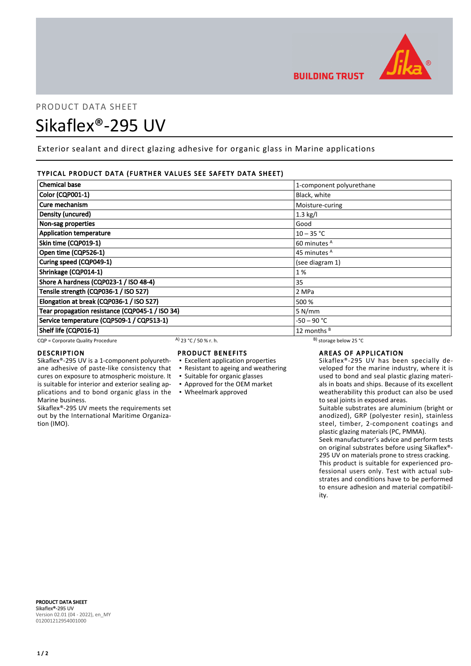

# PRODUCT DATA SHEET Sikaflex®-295 UV

Exterior sealant and direct glazing adhesive for organic glass in Marine applications

# TYPICAL PRODUCT DATA (FURTHER VALUES SEE SAFETY DATA SHEET)

| <b>Chemical base</b>                            |                       | 1-component polyurethane     |  |
|-------------------------------------------------|-----------------------|------------------------------|--|
| <b>Color (CQP001-1)</b>                         |                       | Black, white                 |  |
| Cure mechanism                                  |                       | Moisture-curing              |  |
| Density (uncured)                               |                       | $1.3$ kg/l                   |  |
| Non-sag properties                              |                       | Good                         |  |
| <b>Application temperature</b>                  |                       | $10 - 35 °C$                 |  |
| Skin time (CQP019-1)                            |                       | 60 minutes <sup>A</sup>      |  |
| Open time (CQP526-1)                            |                       | 45 minutes <sup>A</sup>      |  |
| Curing speed (CQP049-1)                         |                       | (see diagram 1)              |  |
| Shrinkage (CQP014-1)                            |                       | 1%                           |  |
| Shore A hardness (CQP023-1 / ISO 48-4)          |                       | 35                           |  |
| Tensile strength (CQP036-1 / ISO 527)           |                       | 2 MPa                        |  |
| Elongation at break (CQP036-1 / ISO 527)        |                       | 500 %                        |  |
| Tear propagation resistance (CQP045-1 / ISO 34) |                       | 5 N/mm                       |  |
| Service temperature (CQP509-1 / CQP513-1)       |                       | -50 – 90 °C                  |  |
| Shelf life (CQP016-1)                           |                       | 12 months <sup>B</sup>       |  |
| CQP = Corporate Quality Procedure               | A) 23 °C / 50 % r. h. | $^{B}$ ) storage below 25 °C |  |

cures on exposure to atmospheric moisture. It is suitable for interior and exterior sealing ap-

Sikaflex®-295 UV meets the requirements set out by the International Maritime Organiza-

## DESCRIPTION

Marine business.

tion (IMO).

# PRODUCT BENEFITS

- Sikaflex®-295 UV is a 1-component polyurethane adhesive of paste-like consistency that ▪ Excellent application properties ▪ Resistant to ageing and weathering
	-
	- Suitable for organic glasses
	- Approved for the OEM market
- plications and to bond organic glass in the Wheelmark approved

# AREAS OF APPLICATION

Sikaflex®-295 UV has been specially developed for the marine industry, where it is used to bond and seal plastic glazing materials in boats and ships. Because of its excellent weatherability this product can also be used to seal joints in exposed areas.

Suitable substrates are aluminium (bright or anodized), GRP (polyester resin), stainless steel, timber, 2-component coatings and plastic glazing materials (PC, PMMA).

Seek manufacturer's advice and perform tests on original substrates before using Sikaflex®- 295 UV on materials prone to stress cracking. This product is suitable for experienced professional users only. Test with actual substrates and conditions have to be performed to ensure adhesion and material compatibility.

PRODUCT DATA SHEET Sikaflex®-295 UV Version 02.01 (04 - 2022), en\_MY 012001212954001000